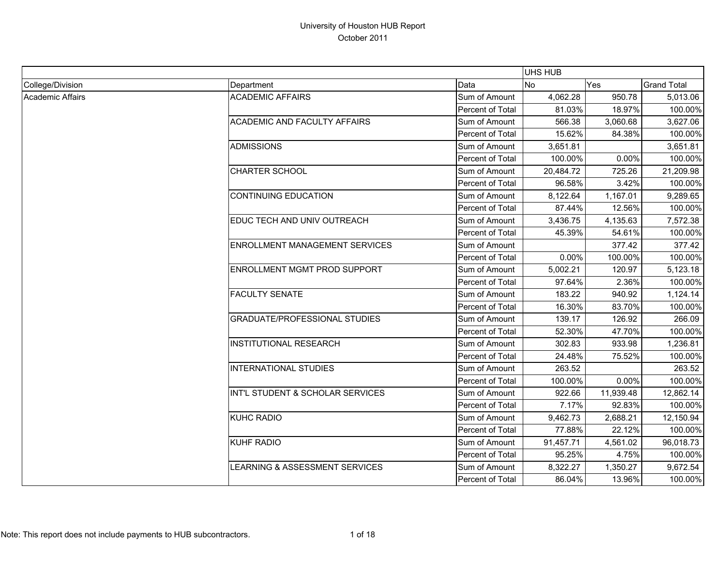|                  |                                       |                  | UHS HUB   |            |                    |
|------------------|---------------------------------------|------------------|-----------|------------|--------------------|
| College/Division | Department                            | Data             | No        | <b>Yes</b> | <b>Grand Total</b> |
| Academic Affairs | <b>ACADEMIC AFFAIRS</b>               | Sum of Amount    | 4,062.28  | 950.78     | 5,013.06           |
|                  |                                       | Percent of Total | 81.03%    | 18.97%     | 100.00%            |
|                  | <b>ACADEMIC AND FACULTY AFFAIRS</b>   | Sum of Amount    | 566.38    | 3,060.68   | 3,627.06           |
|                  |                                       | Percent of Total | 15.62%    | 84.38%     | 100.00%            |
|                  | <b>ADMISSIONS</b>                     | Sum of Amount    | 3,651.81  |            | 3,651.81           |
|                  |                                       | Percent of Total | 100.00%   | 0.00%      | 100.00%            |
|                  | CHARTER SCHOOL                        | Sum of Amount    | 20,484.72 | 725.26     | 21,209.98          |
|                  |                                       | Percent of Total | 96.58%    | 3.42%      | 100.00%            |
|                  | <b>CONTINUING EDUCATION</b>           | Sum of Amount    | 8,122.64  | 1,167.01   | 9,289.65           |
|                  |                                       | Percent of Total | 87.44%    | 12.56%     | 100.00%            |
|                  | EDUC TECH AND UNIV OUTREACH           | Sum of Amount    | 3,436.75  | 4,135.63   | 7,572.38           |
|                  |                                       | Percent of Total | 45.39%    | 54.61%     | 100.00%            |
|                  | <b>ENROLLMENT MANAGEMENT SERVICES</b> | Sum of Amount    |           | 377.42     | 377.42             |
|                  |                                       | Percent of Total | 0.00%     | 100.00%    | 100.00%            |
|                  | <b>ENROLLMENT MGMT PROD SUPPORT</b>   | Sum of Amount    | 5,002.21  | 120.97     | 5,123.18           |
|                  |                                       | Percent of Total | 97.64%    | 2.36%      | 100.00%            |
|                  | <b>FACULTY SENATE</b>                 | Sum of Amount    | 183.22    | 940.92     | 1,124.14           |
|                  |                                       | Percent of Total | 16.30%    | 83.70%     | 100.00%            |
|                  | <b>GRADUATE/PROFESSIONAL STUDIES</b>  | Sum of Amount    | 139.17    | 126.92     | 266.09             |
|                  |                                       | Percent of Total | 52.30%    | 47.70%     | 100.00%            |
|                  | <b>INSTITUTIONAL RESEARCH</b>         | Sum of Amount    | 302.83    | 933.98     | 1,236.81           |
|                  |                                       | Percent of Total | 24.48%    | 75.52%     | 100.00%            |
|                  | <b>INTERNATIONAL STUDIES</b>          | Sum of Amount    | 263.52    |            | 263.52             |
|                  |                                       | Percent of Total | 100.00%   | 0.00%      | 100.00%            |
|                  | INT'L STUDENT & SCHOLAR SERVICES      | Sum of Amount    | 922.66    | 11,939.48  | 12,862.14          |
|                  |                                       | Percent of Total | 7.17%     | 92.83%     | 100.00%            |
|                  | KUHC RADIO                            | Sum of Amount    | 9,462.73  | 2,688.21   | 12,150.94          |
|                  |                                       | Percent of Total | 77.88%    | 22.12%     | 100.00%            |
|                  | KUHF RADIO                            | Sum of Amount    | 91,457.71 | 4,561.02   | 96,018.73          |
|                  |                                       | Percent of Total | 95.25%    | 4.75%      | 100.00%            |
|                  | LEARNING & ASSESSMENT SERVICES        | Sum of Amount    | 8,322.27  | 1,350.27   | 9,672.54           |
|                  |                                       | Percent of Total | 86.04%    | 13.96%     | 100.00%            |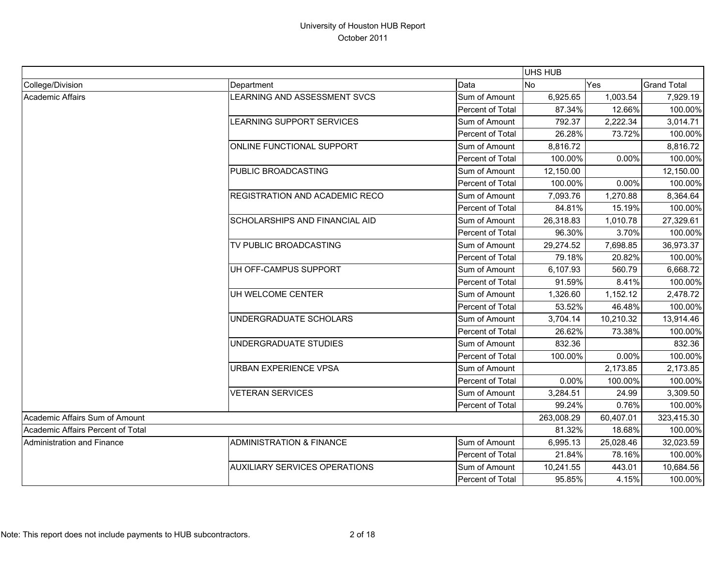|                                   |                                       |                         | <b>UHS HUB</b> |           |                    |
|-----------------------------------|---------------------------------------|-------------------------|----------------|-----------|--------------------|
| College/Division                  | Department                            | Data                    | <b>No</b>      | Yes       | <b>Grand Total</b> |
| <b>Academic Affairs</b>           | LEARNING AND ASSESSMENT SVCS          | Sum of Amount           | 6,925.65       | 1,003.54  | 7,929.19           |
|                                   |                                       | Percent of Total        | 87.34%         | 12.66%    | 100.00%            |
|                                   | <b>LEARNING SUPPORT SERVICES</b>      | Sum of Amount           | 792.37         | 2,222.34  | 3,014.71           |
|                                   |                                       | Percent of Total        | 26.28%         | 73.72%    | 100.00%            |
|                                   | ONLINE FUNCTIONAL SUPPORT             | Sum of Amount           | 8,816.72       |           | 8,816.72           |
|                                   |                                       | Percent of Total        | 100.00%        | 0.00%     | 100.00%            |
|                                   | <b>PUBLIC BROADCASTING</b>            | Sum of Amount           | 12,150.00      |           | 12,150.00          |
|                                   |                                       | Percent of Total        | 100.00%        | 0.00%     | 100.00%            |
|                                   | <b>REGISTRATION AND ACADEMIC RECO</b> | Sum of Amount           | 7,093.76       | 1,270.88  | 8,364.64           |
|                                   |                                       | Percent of Total        | 84.81%         | 15.19%    | 100.00%            |
|                                   | <b>SCHOLARSHIPS AND FINANCIAL AID</b> | Sum of Amount           | 26,318.83      | 1,010.78  | 27,329.61          |
|                                   |                                       | <b>Percent of Total</b> | 96.30%         | 3.70%     | 100.00%            |
|                                   | TV PUBLIC BROADCASTING                | Sum of Amount           | 29,274.52      | 7,698.85  | 36,973.37          |
|                                   |                                       | Percent of Total        | 79.18%         | 20.82%    | 100.00%            |
|                                   | UH OFF-CAMPUS SUPPORT                 | Sum of Amount           | 6,107.93       | 560.79    | 6,668.72           |
|                                   |                                       | <b>Percent of Total</b> | 91.59%         | 8.41%     | 100.00%            |
|                                   | UH WELCOME CENTER                     | Sum of Amount           | 1,326.60       | 1,152.12  | 2,478.72           |
|                                   |                                       | Percent of Total        | 53.52%         | 46.48%    | 100.00%            |
|                                   | UNDERGRADUATE SCHOLARS                | Sum of Amount           | 3,704.14       | 10,210.32 | 13,914.46          |
|                                   |                                       | Percent of Total        | 26.62%         | 73.38%    | 100.00%            |
|                                   | UNDERGRADUATE STUDIES                 | Sum of Amount           | 832.36         |           | 832.36             |
|                                   |                                       | Percent of Total        | 100.00%        | 0.00%     | 100.00%            |
|                                   | <b>URBAN EXPERIENCE VPSA</b>          | Sum of Amount           |                | 2,173.85  | 2,173.85           |
|                                   |                                       | Percent of Total        | 0.00%          | 100.00%   | 100.00%            |
|                                   | <b>VETERAN SERVICES</b>               | Sum of Amount           | 3,284.51       | 24.99     | 3,309.50           |
|                                   |                                       | Percent of Total        | 99.24%         | 0.76%     | 100.00%            |
| Academic Affairs Sum of Amount    |                                       |                         | 263,008.29     | 60,407.01 | 323,415.30         |
| Academic Affairs Percent of Total |                                       |                         | 81.32%         | 18.68%    | 100.00%            |
| Administration and Finance        | <b>ADMINISTRATION &amp; FINANCE</b>   | Sum of Amount           | 6,995.13       | 25,028.46 | 32,023.59          |
|                                   |                                       | Percent of Total        | 21.84%         | 78.16%    | 100.00%            |
|                                   | <b>AUXILIARY SERVICES OPERATIONS</b>  | Sum of Amount           | 10,241.55      | 443.01    | 10,684.56          |
|                                   |                                       | Percent of Total        | 95.85%         | 4.15%     | 100.00%            |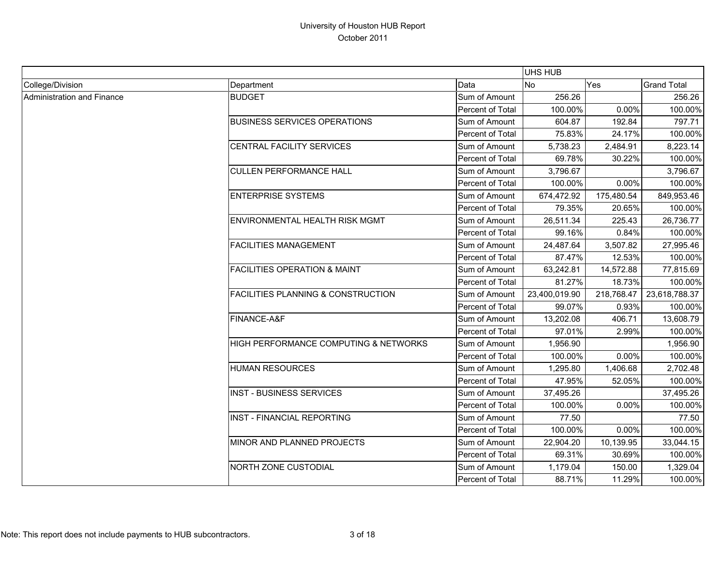|                            |                                               |                  | UHS HUB       |            |                    |
|----------------------------|-----------------------------------------------|------------------|---------------|------------|--------------------|
| College/Division           | Department                                    | Data             | <b>No</b>     | Yes        | <b>Grand Total</b> |
| Administration and Finance | <b>BUDGET</b>                                 | Sum of Amount    | 256.26        |            | 256.26             |
|                            |                                               | Percent of Total | 100.00%       | 0.00%      | 100.00%            |
|                            | <b>BUSINESS SERVICES OPERATIONS</b>           | Sum of Amount    | 604.87        | 192.84     | 797.71             |
|                            |                                               | Percent of Total | 75.83%        | 24.17%     | 100.00%            |
|                            | CENTRAL FACILITY SERVICES                     | Sum of Amount    | 5,738.23      | 2,484.91   | 8,223.14           |
|                            |                                               | Percent of Total | 69.78%        | 30.22%     | 100.00%            |
|                            | <b>CULLEN PERFORMANCE HALL</b>                | Sum of Amount    | 3,796.67      |            | 3,796.67           |
|                            |                                               | Percent of Total | 100.00%       | 0.00%      | 100.00%            |
|                            | <b>ENTERPRISE SYSTEMS</b>                     | Sum of Amount    | 674,472.92    | 175,480.54 | 849,953.46         |
|                            |                                               | Percent of Total | 79.35%        | 20.65%     | 100.00%            |
|                            | <b>ENVIRONMENTAL HEALTH RISK MGMT</b>         | Sum of Amount    | 26,511.34     | 225.43     | 26,736.77          |
|                            |                                               | Percent of Total | 99.16%        | 0.84%      | 100.00%            |
|                            | <b>FACILITIES MANAGEMENT</b>                  | Sum of Amount    | 24,487.64     | 3,507.82   | 27,995.46          |
|                            |                                               | Percent of Total | 87.47%        | 12.53%     | 100.00%            |
|                            | <b>FACILITIES OPERATION &amp; MAINT</b>       | Sum of Amount    | 63,242.81     | 14,572.88  | 77,815.69          |
|                            |                                               | Percent of Total | 81.27%        | 18.73%     | 100.00%            |
|                            | <b>FACILITIES PLANNING &amp; CONSTRUCTION</b> | Sum of Amount    | 23,400,019.90 | 218,768.47 | 23,618,788.37      |
|                            |                                               | Percent of Total | 99.07%        | 0.93%      | 100.00%            |
|                            | FINANCE-A&F                                   | Sum of Amount    | 13,202.08     | 406.71     | 13,608.79          |
|                            |                                               | Percent of Total | 97.01%        | 2.99%      | 100.00%            |
|                            | HIGH PERFORMANCE COMPUTING & NETWORKS         | Sum of Amount    | 1,956.90      |            | 1,956.90           |
|                            |                                               | Percent of Total | 100.00%       | 0.00%      | 100.00%            |
|                            | <b>HUMAN RESOURCES</b>                        | Sum of Amount    | 1,295.80      | 1,406.68   | 2,702.48           |
|                            |                                               | Percent of Total | 47.95%        | 52.05%     | 100.00%            |
|                            | <b>INST - BUSINESS SERVICES</b>               | Sum of Amount    | 37,495.26     |            | 37,495.26          |
|                            |                                               | Percent of Total | 100.00%       | 0.00%      | 100.00%            |
|                            | <b>INST - FINANCIAL REPORTING</b>             | Sum of Amount    | 77.50         |            | 77.50              |
|                            |                                               | Percent of Total | 100.00%       | 0.00%      | 100.00%            |
|                            | MINOR AND PLANNED PROJECTS                    | Sum of Amount    | 22,904.20     | 10,139.95  | 33,044.15          |
|                            |                                               | Percent of Total | 69.31%        | 30.69%     | 100.00%            |
|                            | <b>NORTH ZONE CUSTODIAL</b>                   | Sum of Amount    | 1,179.04      | 150.00     | 1,329.04           |
|                            |                                               | Percent of Total | 88.71%        | 11.29%     | 100.00%            |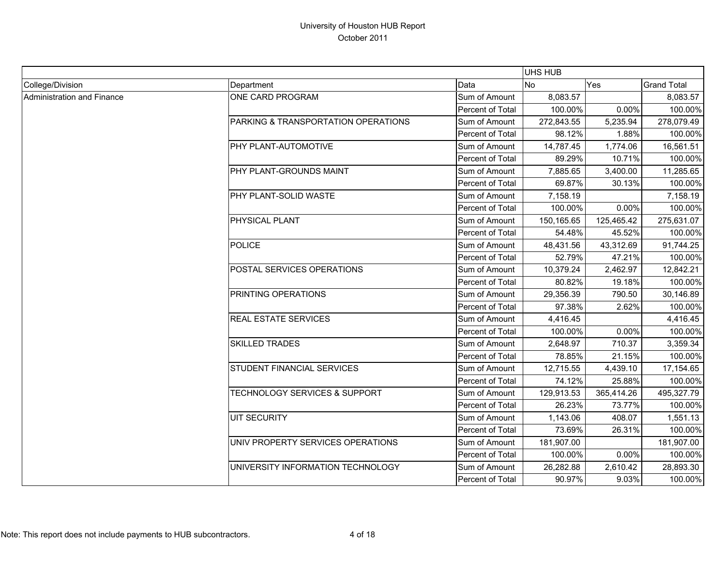|                            |                                          |                  | UHS HUB    |            |                    |
|----------------------------|------------------------------------------|------------------|------------|------------|--------------------|
| College/Division           | Department                               | Data             | No         | Yes        | <b>Grand Total</b> |
| Administration and Finance | ONE CARD PROGRAM                         | Sum of Amount    | 8,083.57   |            | 8,083.57           |
|                            |                                          | Percent of Total | 100.00%    | 0.00%      | 100.00%            |
|                            | PARKING & TRANSPORTATION OPERATIONS      | Sum of Amount    | 272,843.55 | 5,235.94   | 278,079.49         |
|                            |                                          | Percent of Total | 98.12%     | 1.88%      | 100.00%            |
|                            | PHY PLANT-AUTOMOTIVE                     | Sum of Amount    | 14,787.45  | 1,774.06   | 16,561.51          |
|                            |                                          | Percent of Total | 89.29%     | 10.71%     | 100.00%            |
|                            | PHY PLANT-GROUNDS MAINT                  | Sum of Amount    | 7,885.65   | 3,400.00   | 11,285.65          |
|                            |                                          | Percent of Total | 69.87%     | 30.13%     | 100.00%            |
|                            | PHY PLANT-SOLID WASTE                    | Sum of Amount    | 7,158.19   |            | 7,158.19           |
|                            |                                          | Percent of Total | 100.00%    | 0.00%      | 100.00%            |
|                            | PHYSICAL PLANT                           | Sum of Amount    | 150,165.65 | 125,465.42 | 275,631.07         |
|                            |                                          | Percent of Total | 54.48%     | 45.52%     | 100.00%            |
|                            | <b>POLICE</b>                            | Sum of Amount    | 48,431.56  | 43,312.69  | 91,744.25          |
|                            |                                          | Percent of Total | 52.79%     | 47.21%     | 100.00%            |
|                            | POSTAL SERVICES OPERATIONS               | Sum of Amount    | 10,379.24  | 2,462.97   | 12,842.21          |
|                            |                                          | Percent of Total | 80.82%     | 19.18%     | 100.00%            |
|                            | PRINTING OPERATIONS                      | Sum of Amount    | 29,356.39  | 790.50     | 30,146.89          |
|                            |                                          | Percent of Total | 97.38%     | 2.62%      | 100.00%            |
|                            | <b>REAL ESTATE SERVICES</b>              | Sum of Amount    | 4,416.45   |            | 4,416.45           |
|                            |                                          | Percent of Total | 100.00%    | 0.00%      | 100.00%            |
|                            | SKILLED TRADES                           | Sum of Amount    | 2,648.97   | 710.37     | 3,359.34           |
|                            |                                          | Percent of Total | 78.85%     | 21.15%     | 100.00%            |
|                            | STUDENT FINANCIAL SERVICES               | Sum of Amount    | 12,715.55  | 4,439.10   | 17,154.65          |
|                            |                                          | Percent of Total | 74.12%     | 25.88%     | 100.00%            |
|                            | <b>TECHNOLOGY SERVICES &amp; SUPPORT</b> | Sum of Amount    | 129,913.53 | 365,414.26 | 495,327.79         |
|                            |                                          | Percent of Total | 26.23%     | 73.77%     | 100.00%            |
|                            | <b>UIT SECURITY</b>                      | Sum of Amount    | 1,143.06   | 408.07     | 1,551.13           |
|                            |                                          | Percent of Total | 73.69%     | 26.31%     | 100.00%            |
|                            | UNIV PROPERTY SERVICES OPERATIONS        | Sum of Amount    | 181,907.00 |            | 181,907.00         |
|                            |                                          | Percent of Total | 100.00%    | 0.00%      | 100.00%            |
|                            | UNIVERSITY INFORMATION TECHNOLOGY        | Sum of Amount    | 26,282.88  | 2,610.42   | 28,893.30          |
|                            |                                          | Percent of Total | 90.97%     | 9.03%      | 100.00%            |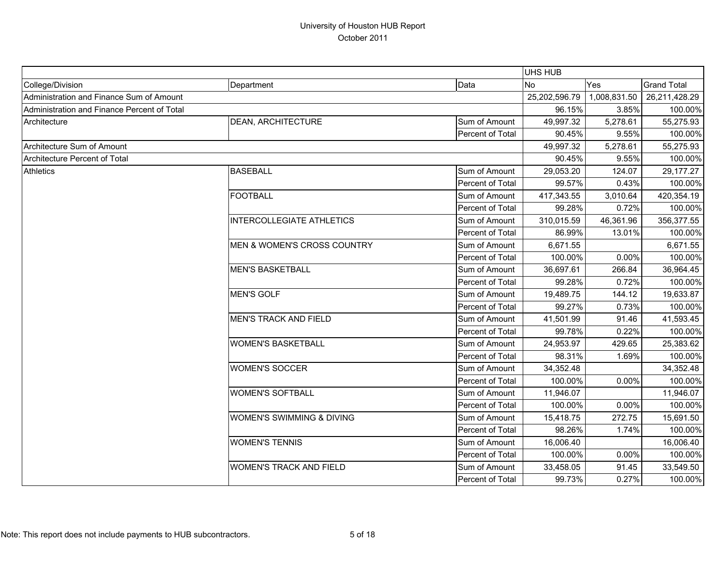|                                             |                                        |                  | <b>UHS HUB</b> |              |                    |
|---------------------------------------------|----------------------------------------|------------------|----------------|--------------|--------------------|
| College/Division                            | Department                             | Data             | <b>No</b>      | Yes          | <b>Grand Total</b> |
| Administration and Finance Sum of Amount    |                                        |                  | 25,202,596.79  | 1,008,831.50 | 26,211,428.29      |
| Administration and Finance Percent of Total |                                        |                  | 96.15%         | 3.85%        | 100.00%            |
| Architecture                                | <b>DEAN, ARCHITECTURE</b>              | Sum of Amount    | 49,997.32      | 5,278.61     | 55,275.93          |
|                                             |                                        | Percent of Total | 90.45%         | 9.55%        | 100.00%            |
| Architecture Sum of Amount                  |                                        |                  |                | 5,278.61     | 55,275.93          |
| Architecture Percent of Total               |                                        |                  | 90.45%         | 9.55%        | 100.00%            |
| <b>Athletics</b>                            | <b>BASEBALL</b>                        | Sum of Amount    | 29,053.20      | 124.07       | 29,177.27          |
|                                             |                                        | Percent of Total | 99.57%         | 0.43%        | 100.00%            |
|                                             | <b>FOOTBALL</b>                        | Sum of Amount    | 417,343.55     | 3,010.64     | 420,354.19         |
|                                             |                                        | Percent of Total | 99.28%         | 0.72%        | 100.00%            |
|                                             | <b>INTERCOLLEGIATE ATHLETICS</b>       | Sum of Amount    | 310,015.59     | 46,361.96    | 356,377.55         |
|                                             |                                        | Percent of Total | 86.99%         | 13.01%       | 100.00%            |
|                                             | <b>MEN &amp; WOMEN'S CROSS COUNTRY</b> | Sum of Amount    | 6,671.55       |              | 6,671.55           |
|                                             |                                        | Percent of Total | 100.00%        | 0.00%        | 100.00%            |
|                                             | <b>MEN'S BASKETBALL</b>                | Sum of Amount    | 36,697.61      | 266.84       | 36,964.45          |
|                                             |                                        | Percent of Total | 99.28%         | 0.72%        | 100.00%            |
|                                             | <b>MEN'S GOLF</b>                      | Sum of Amount    | 19,489.75      | 144.12       | 19,633.87          |
|                                             |                                        | Percent of Total | 99.27%         | 0.73%        | 100.00%            |
|                                             | <b>MEN'S TRACK AND FIELD</b>           | Sum of Amount    | 41,501.99      | 91.46        | 41,593.45          |
|                                             |                                        | Percent of Total | 99.78%         | 0.22%        | 100.00%            |
|                                             | <b>WOMEN'S BASKETBALL</b>              | Sum of Amount    | 24,953.97      | 429.65       | 25,383.62          |
|                                             |                                        | Percent of Total | 98.31%         | 1.69%        | 100.00%            |
|                                             | <b>WOMEN'S SOCCER</b>                  | Sum of Amount    | 34,352.48      |              | 34,352.48          |
|                                             |                                        | Percent of Total | 100.00%        | 0.00%        | 100.00%            |
|                                             | <b>WOMEN'S SOFTBALL</b>                | Sum of Amount    | 11,946.07      |              | 11,946.07          |
|                                             |                                        | Percent of Total | 100.00%        | 0.00%        | 100.00%            |
|                                             | WOMEN'S SWIMMING & DIVING              | Sum of Amount    | 15,418.75      | 272.75       | 15,691.50          |
|                                             |                                        | Percent of Total | 98.26%         | 1.74%        | 100.00%            |
|                                             | <b>WOMEN'S TENNIS</b>                  | Sum of Amount    | 16,006.40      |              | 16,006.40          |
|                                             |                                        | Percent of Total | 100.00%        | 0.00%        | 100.00%            |
|                                             | <b>WOMEN'S TRACK AND FIELD</b>         | Sum of Amount    | 33,458.05      | 91.45        | 33,549.50          |
|                                             |                                        | Percent of Total | 99.73%         | 0.27%        | 100.00%            |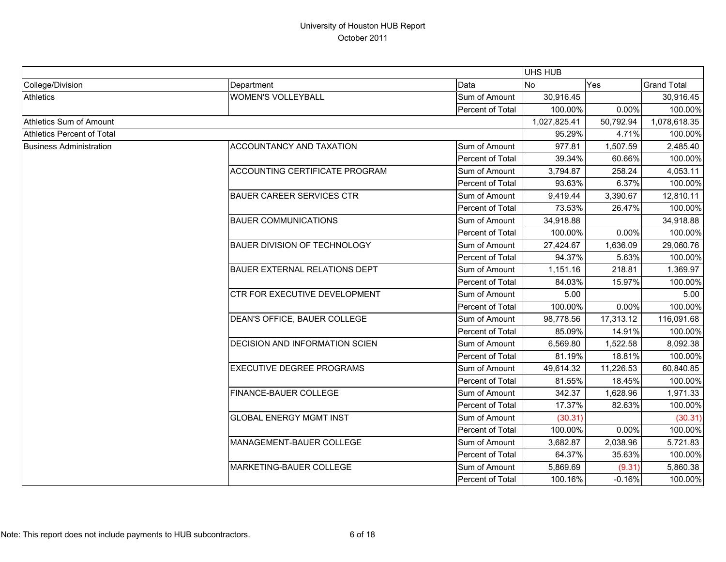|                                   |                                      |                  | <b>UHS HUB</b> |           |                    |
|-----------------------------------|--------------------------------------|------------------|----------------|-----------|--------------------|
| College/Division                  | Department                           | Data             | <b>No</b>      | Yes       | <b>Grand Total</b> |
| <b>Athletics</b>                  | <b>WOMEN'S VOLLEYBALL</b>            | Sum of Amount    | 30,916.45      |           | 30,916.45          |
|                                   |                                      | Percent of Total | 100.00%        | 0.00%     | 100.00%            |
| Athletics Sum of Amount           |                                      |                  | 1,027,825.41   | 50,792.94 | 1,078,618.35       |
| <b>Athletics Percent of Total</b> |                                      |                  | 95.29%         | 4.71%     | 100.00%            |
| <b>Business Administration</b>    | ACCOUNTANCY AND TAXATION             | Sum of Amount    | 977.81         | 1,507.59  | 2,485.40           |
|                                   |                                      | Percent of Total | 39.34%         | 60.66%    | 100.00%            |
|                                   | ACCOUNTING CERTIFICATE PROGRAM       | Sum of Amount    | 3,794.87       | 258.24    | 4,053.11           |
|                                   |                                      | Percent of Total | 93.63%         | 6.37%     | 100.00%            |
|                                   | <b>BAUER CAREER SERVICES CTR</b>     | Sum of Amount    | 9,419.44       | 3,390.67  | 12,810.11          |
|                                   |                                      | Percent of Total | 73.53%         | 26.47%    | 100.00%            |
|                                   | <b>BAUER COMMUNICATIONS</b>          | Sum of Amount    | 34,918.88      |           | 34,918.88          |
|                                   |                                      | Percent of Total | 100.00%        | 0.00%     | 100.00%            |
|                                   | <b>BAUER DIVISION OF TECHNOLOGY</b>  | Sum of Amount    | 27,424.67      | 1,636.09  | 29,060.76          |
|                                   |                                      | Percent of Total | 94.37%         | 5.63%     | 100.00%            |
|                                   | <b>BAUER EXTERNAL RELATIONS DEPT</b> | Sum of Amount    | 1,151.16       | 218.81    | 1,369.97           |
|                                   |                                      | Percent of Total | 84.03%         | 15.97%    | 100.00%            |
|                                   | CTR FOR EXECUTIVE DEVELOPMENT        | Sum of Amount    | 5.00           |           | 5.00               |
|                                   |                                      | Percent of Total | 100.00%        | 0.00%     | 100.00%            |
|                                   | DEAN'S OFFICE, BAUER COLLEGE         | Sum of Amount    | 98,778.56      | 17,313.12 | 116,091.68         |
|                                   |                                      | Percent of Total | 85.09%         | 14.91%    | 100.00%            |
|                                   | DECISION AND INFORMATION SCIEN       | Sum of Amount    | 6,569.80       | 1,522.58  | 8,092.38           |
|                                   |                                      | Percent of Total | 81.19%         | 18.81%    | 100.00%            |
|                                   | <b>EXECUTIVE DEGREE PROGRAMS</b>     | Sum of Amount    | 49,614.32      | 11,226.53 | 60,840.85          |
|                                   |                                      | Percent of Total | 81.55%         | 18.45%    | 100.00%            |
|                                   | <b>FINANCE-BAUER COLLEGE</b>         | Sum of Amount    | 342.37         | 1,628.96  | 1,971.33           |
|                                   |                                      | Percent of Total | 17.37%         | 82.63%    | 100.00%            |
|                                   | <b>GLOBAL ENERGY MGMT INST</b>       | Sum of Amount    | (30.31)        |           | (30.31)            |
|                                   |                                      | Percent of Total | 100.00%        | 0.00%     | 100.00%            |
|                                   | MANAGEMENT-BAUER COLLEGE             | Sum of Amount    | 3,682.87       | 2,038.96  | 5,721.83           |
|                                   |                                      | Percent of Total | 64.37%         | 35.63%    | 100.00%            |
|                                   | MARKETING-BAUER COLLEGE              | Sum of Amount    | 5,869.69       | (9.31)    | 5,860.38           |
|                                   |                                      | Percent of Total | 100.16%        | $-0.16%$  | 100.00%            |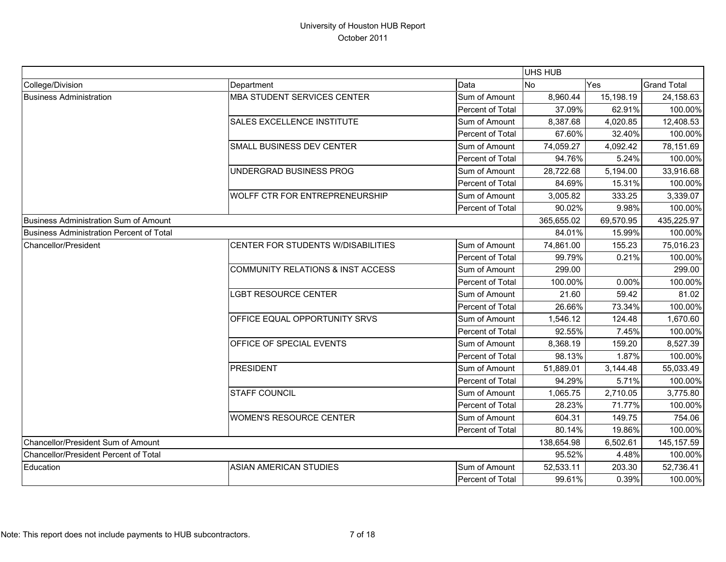|                                          |                                    |                         | <b>UHS HUB</b> |           |                    |
|------------------------------------------|------------------------------------|-------------------------|----------------|-----------|--------------------|
| College/Division                         | Department                         | Data                    | No             | Yes       | <b>Grand Total</b> |
| <b>Business Administration</b>           | <b>MBA STUDENT SERVICES CENTER</b> | Sum of Amount           | 8,960.44       | 15,198.19 | 24,158.63          |
|                                          |                                    | Percent of Total        | 37.09%         | 62.91%    | 100.00%            |
|                                          | SALES EXCELLENCE INSTITUTE         | Sum of Amount           | 8,387.68       | 4,020.85  | 12,408.53          |
|                                          |                                    | Percent of Total        | 67.60%         | 32.40%    | 100.00%            |
|                                          | SMALL BUSINESS DEV CENTER          | Sum of Amount           | 74,059.27      | 4,092.42  | 78,151.69          |
|                                          |                                    | Percent of Total        | 94.76%         | 5.24%     | 100.00%            |
|                                          | UNDERGRAD BUSINESS PROG            | Sum of Amount           | 28,722.68      | 5,194.00  | 33,916.68          |
|                                          |                                    | Percent of Total        | 84.69%         | 15.31%    | 100.00%            |
|                                          | WOLFF CTR FOR ENTREPRENEURSHIP     | Sum of Amount           | 3,005.82       | 333.25    | 3,339.07           |
|                                          |                                    | Percent of Total        | 90.02%         | 9.98%     | 100.00%            |
| Business Administration Sum of Amount    |                                    |                         | 365,655.02     | 69,570.95 | 435,225.97         |
| Business Administration Percent of Total |                                    |                         | 84.01%         | 15.99%    | 100.00%            |
| Chancellor/President                     | CENTER FOR STUDENTS W/DISABILITIES | Sum of Amount           | 74,861.00      | 155.23    | 75,016.23          |
|                                          |                                    | Percent of Total        | 99.79%         | 0.21%     | 100.00%            |
|                                          | COMMUNITY RELATIONS & INST ACCESS  | Sum of Amount           | 299.00         |           | 299.00             |
|                                          |                                    | Percent of Total        | 100.00%        | 0.00%     | 100.00%            |
|                                          | LGBT RESOURCE CENTER               | Sum of Amount           | 21.60          | 59.42     | 81.02              |
|                                          |                                    | Percent of Total        | 26.66%         | 73.34%    | 100.00%            |
|                                          | OFFICE EQUAL OPPORTUNITY SRVS      | Sum of Amount           | 1,546.12       | 124.48    | 1,670.60           |
|                                          |                                    | Percent of Total        | 92.55%         | 7.45%     | 100.00%            |
|                                          | OFFICE OF SPECIAL EVENTS           | Sum of Amount           | 8,368.19       | 159.20    | 8,527.39           |
|                                          |                                    | Percent of Total        | 98.13%         | 1.87%     | 100.00%            |
|                                          | <b>PRESIDENT</b>                   | Sum of Amount           | 51,889.01      | 3,144.48  | 55,033.49          |
|                                          |                                    | Percent of Total        | 94.29%         | 5.71%     | 100.00%            |
|                                          | <b>STAFF COUNCIL</b>               | Sum of Amount           | 1,065.75       | 2,710.05  | 3,775.80           |
|                                          |                                    | Percent of Total        | 28.23%         | 71.77%    | 100.00%            |
|                                          | <b>WOMEN'S RESOURCE CENTER</b>     | Sum of Amount           | 604.31         | 149.75    | 754.06             |
|                                          |                                    | <b>Percent of Total</b> | 80.14%         | 19.86%    | 100.00%            |
| Chancellor/President Sum of Amount       |                                    |                         | 138,654.98     | 6,502.61  | 145, 157.59        |
| Chancellor/President Percent of Total    |                                    |                         | 95.52%         | 4.48%     | 100.00%            |
| Education                                | <b>ASIAN AMERICAN STUDIES</b>      | Sum of Amount           | 52,533.11      | 203.30    | 52,736.41          |
|                                          |                                    | Percent of Total        | 99.61%         | 0.39%     | 100.00%            |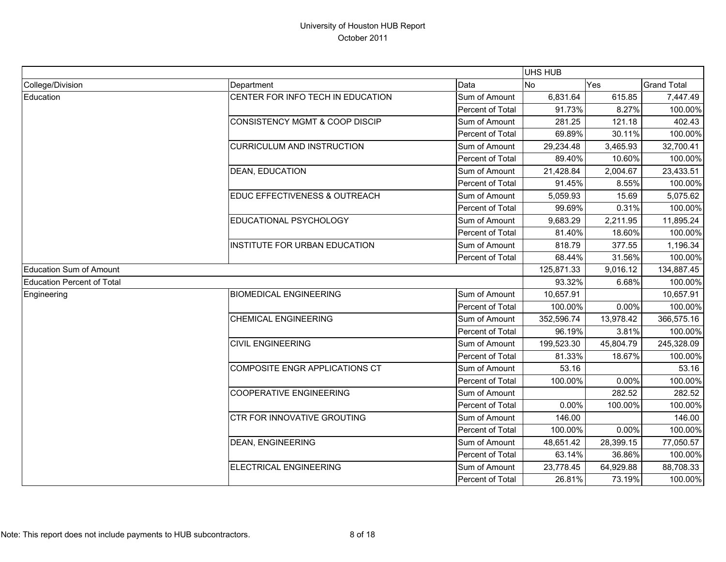|                            |                                           |                  | <b>UHS HUB</b> |           |                    |
|----------------------------|-------------------------------------------|------------------|----------------|-----------|--------------------|
| College/Division           | Department                                | Data             | <b>No</b>      | Yes       | <b>Grand Total</b> |
| Education                  | CENTER FOR INFO TECH IN EDUCATION         | Sum of Amount    | 6,831.64       | 615.85    | 7,447.49           |
|                            |                                           | Percent of Total | 91.73%         | 8.27%     | 100.00%            |
|                            | <b>CONSISTENCY MGMT &amp; COOP DISCIP</b> | Sum of Amount    | 281.25         | 121.18    | 402.43             |
|                            |                                           | Percent of Total | 69.89%         | 30.11%    | 100.00%            |
|                            | <b>CURRICULUM AND INSTRUCTION</b>         | Sum of Amount    | 29,234.48      | 3,465.93  | 32,700.41          |
|                            |                                           | Percent of Total | 89.40%         | 10.60%    | 100.00%            |
|                            | <b>DEAN, EDUCATION</b>                    | Sum of Amount    | 21,428.84      | 2,004.67  | 23,433.51          |
|                            |                                           | Percent of Total | 91.45%         | 8.55%     | 100.00%            |
|                            | EDUC EFFECTIVENESS & OUTREACH             | Sum of Amount    | 5,059.93       | 15.69     | 5,075.62           |
|                            |                                           | Percent of Total | 99.69%         | 0.31%     | 100.00%            |
|                            | EDUCATIONAL PSYCHOLOGY                    | Sum of Amount    | 9,683.29       | 2,211.95  | 11,895.24          |
|                            |                                           | Percent of Total | 81.40%         | 18.60%    | 100.00%            |
|                            | INSTITUTE FOR URBAN EDUCATION             | Sum of Amount    | 818.79         | 377.55    | 1,196.34           |
|                            |                                           | Percent of Total | 68.44%         | 31.56%    | 100.00%            |
| Education Sum of Amount    |                                           |                  | 125,871.33     | 9,016.12  | 134,887.45         |
| Education Percent of Total |                                           |                  | 93.32%         | 6.68%     | 100.00%            |
| Engineering                | <b>BIOMEDICAL ENGINEERING</b>             | Sum of Amount    | 10,657.91      |           | 10,657.91          |
|                            |                                           | Percent of Total | 100.00%        | 0.00%     | 100.00%            |
|                            | <b>CHEMICAL ENGINEERING</b>               | Sum of Amount    | 352,596.74     | 13,978.42 | 366,575.16         |
|                            |                                           | Percent of Total | 96.19%         | 3.81%     | 100.00%            |
|                            | <b>CIVIL ENGINEERING</b>                  | Sum of Amount    | 199,523.30     | 45,804.79 | 245,328.09         |
|                            |                                           | Percent of Total | 81.33%         | 18.67%    | 100.00%            |
|                            | COMPOSITE ENGR APPLICATIONS CT            | Sum of Amount    | 53.16          |           | 53.16              |
|                            |                                           | Percent of Total | 100.00%        | 0.00%     | 100.00%            |
|                            | <b>COOPERATIVE ENGINEERING</b>            | Sum of Amount    |                | 282.52    | 282.52             |
|                            |                                           | Percent of Total | 0.00%          | 100.00%   | 100.00%            |
|                            | CTR FOR INNOVATIVE GROUTING               | Sum of Amount    | 146.00         |           | 146.00             |
|                            |                                           | Percent of Total | 100.00%        | 0.00%     | 100.00%            |
|                            | <b>DEAN, ENGINEERING</b>                  | Sum of Amount    | 48,651.42      | 28,399.15 | 77,050.57          |
|                            |                                           | Percent of Total | 63.14%         | 36.86%    | 100.00%            |
|                            | <b>ELECTRICAL ENGINEERING</b>             | Sum of Amount    | 23,778.45      | 64,929.88 | 88,708.33          |
|                            |                                           | Percent of Total | 26.81%         | 73.19%    | 100.00%            |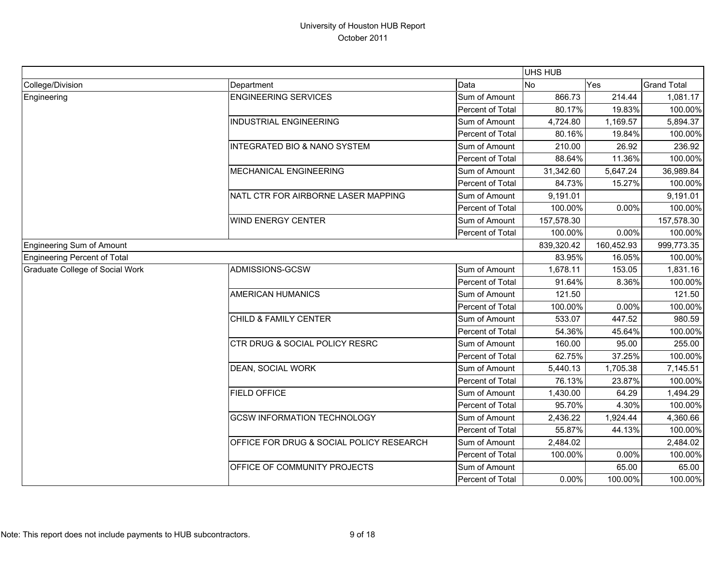|                                     |                                          |                  | UHS HUB    |            |                    |
|-------------------------------------|------------------------------------------|------------------|------------|------------|--------------------|
| College/Division                    | Department                               | Data             | <b>No</b>  | Yes        | <b>Grand Total</b> |
| Engineering                         | <b>ENGINEERING SERVICES</b>              | Sum of Amount    | 866.73     | 214.44     | 1,081.17           |
|                                     |                                          | Percent of Total | 80.17%     | 19.83%     | 100.00%            |
|                                     | <b>INDUSTRIAL ENGINEERING</b>            | Sum of Amount    | 4,724.80   | 1,169.57   | 5,894.37           |
|                                     |                                          | Percent of Total | 80.16%     | 19.84%     | 100.00%            |
|                                     | <b>INTEGRATED BIO &amp; NANO SYSTEM</b>  | Sum of Amount    | 210.00     | 26.92      | 236.92             |
|                                     |                                          | Percent of Total | 88.64%     | 11.36%     | 100.00%            |
|                                     | <b>MECHANICAL ENGINEERING</b>            | Sum of Amount    | 31,342.60  | 5,647.24   | 36,989.84          |
|                                     |                                          | Percent of Total | 84.73%     | 15.27%     | 100.00%            |
|                                     | NATL CTR FOR AIRBORNE LASER MAPPING      | Sum of Amount    | 9,191.01   |            | 9,191.01           |
|                                     |                                          | Percent of Total | 100.00%    | 0.00%      | 100.00%            |
|                                     | <b>WIND ENERGY CENTER</b>                | Sum of Amount    | 157,578.30 |            | 157,578.30         |
|                                     |                                          | Percent of Total | 100.00%    | 0.00%      | 100.00%            |
| <b>Engineering Sum of Amount</b>    |                                          |                  | 839,320.42 | 160,452.93 | 999,773.35         |
| <b>Engineering Percent of Total</b> |                                          |                  | 83.95%     | 16.05%     | 100.00%            |
| Graduate College of Social Work     | ADMISSIONS-GCSW                          | Sum of Amount    | 1,678.11   | 153.05     | 1,831.16           |
|                                     |                                          | Percent of Total | 91.64%     | 8.36%      | 100.00%            |
|                                     | <b>AMERICAN HUMANICS</b>                 | Sum of Amount    | 121.50     |            | 121.50             |
|                                     |                                          | Percent of Total | 100.00%    | 0.00%      | 100.00%            |
|                                     | <b>CHILD &amp; FAMILY CENTER</b>         | Sum of Amount    | 533.07     | 447.52     | 980.59             |
|                                     |                                          | Percent of Total | 54.36%     | 45.64%     | 100.00%            |
|                                     | CTR DRUG & SOCIAL POLICY RESRC           | Sum of Amount    | 160.00     | 95.00      | 255.00             |
|                                     |                                          | Percent of Total | 62.75%     | 37.25%     | 100.00%            |
|                                     | <b>DEAN, SOCIAL WORK</b>                 | Sum of Amount    | 5,440.13   | 1,705.38   | 7,145.51           |
|                                     |                                          | Percent of Total | 76.13%     | 23.87%     | 100.00%            |
|                                     | <b>FIELD OFFICE</b>                      | Sum of Amount    | 1,430.00   | 64.29      | 1,494.29           |
|                                     |                                          | Percent of Total | 95.70%     | 4.30%      | 100.00%            |
|                                     | <b>GCSW INFORMATION TECHNOLOGY</b>       | Sum of Amount    | 2,436.22   | 1,924.44   | 4,360.66           |
|                                     |                                          | Percent of Total | 55.87%     | 44.13%     | 100.00%            |
|                                     | OFFICE FOR DRUG & SOCIAL POLICY RESEARCH | Sum of Amount    | 2,484.02   |            | 2,484.02           |
|                                     |                                          | Percent of Total | 100.00%    | 0.00%      | 100.00%            |
|                                     | OFFICE OF COMMUNITY PROJECTS             | Sum of Amount    |            | 65.00      | 65.00              |
|                                     |                                          | Percent of Total | $0.00\%$   | 100.00%    | 100.00%            |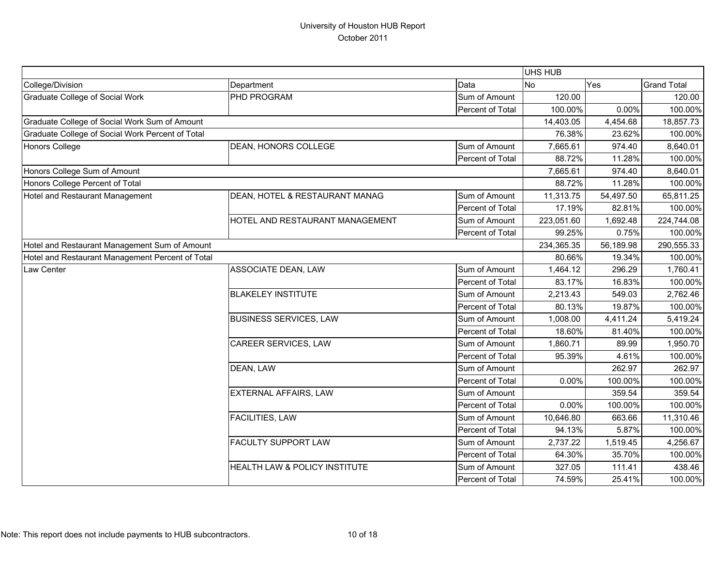|                                                  |                                 |                  | <b>UHS HUB</b> |           |                    |
|--------------------------------------------------|---------------------------------|------------------|----------------|-----------|--------------------|
| College/Division                                 | Department                      | Data             | No             | Yes       | <b>Grand Total</b> |
| <b>Graduate College of Social Work</b>           | PHD PROGRAM                     | Sum of Amount    | 120.00         |           | 120.00             |
|                                                  |                                 | Percent of Total | 100.00%        | 0.00%     | 100.00%            |
| Graduate College of Social Work Sum of Amount    |                                 |                  | 14,403.05      | 4,454.68  | 18,857.73          |
| Graduate College of Social Work Percent of Total |                                 |                  | 76.38%         | 23.62%    | 100.00%            |
| Honors College                                   | DEAN, HONORS COLLEGE            | Sum of Amount    | 7,665.61       | 974.40    | 8,640.01           |
|                                                  |                                 | Percent of Total | 88.72%         | 11.28%    | 100.00%            |
| Honors College Sum of Amount                     |                                 |                  | 7,665.61       | 974.40    | 8,640.01           |
| Honors College Percent of Total                  |                                 |                  | 88.72%         | 11.28%    | 100.00%            |
| Hotel and Restaurant Management                  | DEAN, HOTEL & RESTAURANT MANAG  | Sum of Amount    | 11,313.75      | 54,497.50 | 65,811.25          |
|                                                  |                                 | Percent of Total | 17.19%         | 82.81%    | 100.00%            |
|                                                  | HOTEL AND RESTAURANT MANAGEMENT | Sum of Amount    | 223,051.60     | 1,692.48  | 224,744.08         |
|                                                  |                                 | Percent of Total | 99.25%         | 0.75%     | 100.00%            |
| Hotel and Restaurant Management Sum of Amount    |                                 |                  | 234,365.35     | 56,189.98 | 290,555.33         |
| Hotel and Restaurant Management Percent of Total |                                 |                  | 80.66%         | 19.34%    | 100.00%            |
| Law Center                                       | ASSOCIATE DEAN, LAW             | Sum of Amount    | 1,464.12       | 296.29    | 1,760.41           |
|                                                  |                                 | Percent of Total | 83.17%         | 16.83%    | 100.00%            |
|                                                  | <b>BLAKELEY INSTITUTE</b>       | Sum of Amount    | 2,213.43       | 549.03    | 2,762.46           |
|                                                  |                                 | Percent of Total | 80.13%         | 19.87%    | 100.00%            |
|                                                  | <b>BUSINESS SERVICES, LAW</b>   | Sum of Amount    | 1,008.00       | 4,411.24  | 5,419.24           |
|                                                  |                                 | Percent of Total | 18.60%         | 81.40%    | 100.00%            |
|                                                  | CAREER SERVICES, LAW            | Sum of Amount    | 1,860.71       | 89.99     | 1,950.70           |
|                                                  |                                 | Percent of Total | 95.39%         | 4.61%     | 100.00%            |
|                                                  | DEAN, LAW                       | Sum of Amount    |                | 262.97    | 262.97             |
|                                                  |                                 | Percent of Total | 0.00%          | 100.00%   | 100.00%            |
|                                                  | EXTERNAL AFFAIRS, LAW           | Sum of Amount    |                | 359.54    | 359.54             |
|                                                  |                                 | Percent of Total | 0.00%          | 100.00%   | 100.00%            |
|                                                  | <b>FACILITIES, LAW</b>          | Sum of Amount    | 10,646.80      | 663.66    | 11,310.46          |
|                                                  |                                 | Percent of Total | 94.13%         | 5.87%     | 100.00%            |
|                                                  | <b>FACULTY SUPPORT LAW</b>      | Sum of Amount    | 2,737.22       | 1,519.45  | 4,256.67           |
|                                                  |                                 | Percent of Total | 64.30%         | 35.70%    | 100.00%            |
|                                                  | HEALTH LAW & POLICY INSTITUTE   | Sum of Amount    | 327.05         | 111.41    | 438.46             |
|                                                  |                                 | Percent of Total | 74.59%         | 25.41%    | 100.00%            |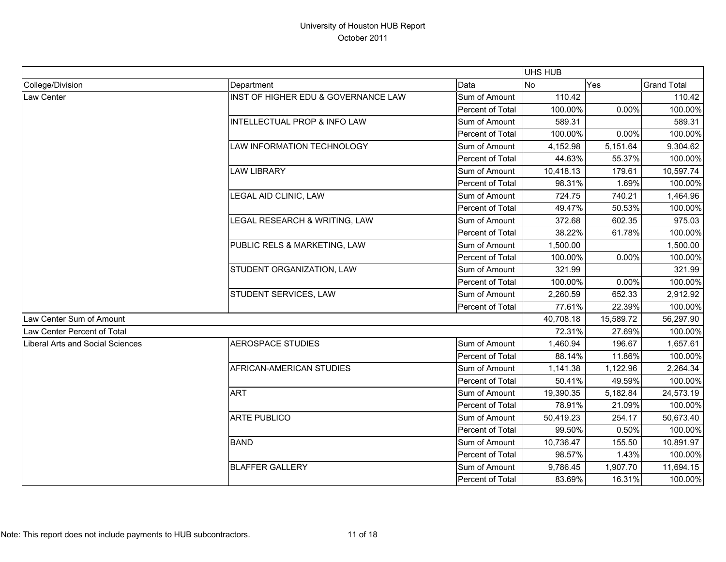|                                         |                                         |                  | <b>UHS HUB</b> |           |                    |
|-----------------------------------------|-----------------------------------------|------------------|----------------|-----------|--------------------|
| College/Division                        | Department                              | Data             | <b>No</b>      | Yes       | <b>Grand Total</b> |
| Law Center                              | INST OF HIGHER EDU & GOVERNANCE LAW     | Sum of Amount    | 110.42         |           | 110.42             |
|                                         |                                         | Percent of Total | 100.00%        | 0.00%     | 100.00%            |
|                                         | <b>INTELLECTUAL PROP &amp; INFO LAW</b> | Sum of Amount    | 589.31         |           | 589.31             |
|                                         |                                         | Percent of Total | 100.00%        | 0.00%     | 100.00%            |
|                                         | LAW INFORMATION TECHNOLOGY              | Sum of Amount    | 4,152.98       | 5,151.64  | 9,304.62           |
|                                         |                                         | Percent of Total | 44.63%         | 55.37%    | 100.00%            |
|                                         | <b>LAW LIBRARY</b>                      | Sum of Amount    | 10,418.13      | 179.61    | 10,597.74          |
|                                         |                                         | Percent of Total | 98.31%         | 1.69%     | 100.00%            |
|                                         | LEGAL AID CLINIC, LAW                   | Sum of Amount    | 724.75         | 740.21    | 1,464.96           |
|                                         |                                         | Percent of Total | 49.47%         | 50.53%    | 100.00%            |
|                                         | LEGAL RESEARCH & WRITING, LAW           | Sum of Amount    | 372.68         | 602.35    | 975.03             |
|                                         |                                         | Percent of Total | 38.22%         | 61.78%    | 100.00%            |
|                                         | PUBLIC RELS & MARKETING, LAW            | Sum of Amount    | 1,500.00       |           | 1,500.00           |
|                                         |                                         | Percent of Total | 100.00%        | 0.00%     | 100.00%            |
|                                         | STUDENT ORGANIZATION, LAW               | Sum of Amount    | 321.99         |           | 321.99             |
|                                         |                                         | Percent of Total | 100.00%        | 0.00%     | 100.00%            |
|                                         | STUDENT SERVICES, LAW                   | Sum of Amount    | 2,260.59       | 652.33    | 2,912.92           |
|                                         |                                         | Percent of Total | 77.61%         | 22.39%    | 100.00%            |
| Law Center Sum of Amount                |                                         |                  | 40,708.18      | 15,589.72 | 56,297.90          |
| Law Center Percent of Total             |                                         |                  | 72.31%         | 27.69%    | 100.00%            |
| <b>Liberal Arts and Social Sciences</b> | <b>AEROSPACE STUDIES</b>                | Sum of Amount    | 1,460.94       | 196.67    | 1,657.61           |
|                                         |                                         | Percent of Total | 88.14%         | 11.86%    | 100.00%            |
|                                         | AFRICAN-AMERICAN STUDIES                | Sum of Amount    | 1,141.38       | 1,122.96  | 2,264.34           |
|                                         |                                         | Percent of Total | 50.41%         | 49.59%    | 100.00%            |
|                                         | <b>ART</b>                              | Sum of Amount    | 19,390.35      | 5,182.84  | 24,573.19          |
|                                         |                                         | Percent of Total | 78.91%         | 21.09%    | 100.00%            |
|                                         | <b>ARTE PUBLICO</b>                     | Sum of Amount    | 50,419.23      | 254.17    | 50,673.40          |
|                                         |                                         | Percent of Total | 99.50%         | 0.50%     | 100.00%            |
|                                         | <b>BAND</b>                             | Sum of Amount    | 10,736.47      | 155.50    | 10,891.97          |
|                                         |                                         | Percent of Total | 98.57%         | 1.43%     | 100.00%            |
|                                         | <b>BLAFFER GALLERY</b>                  | Sum of Amount    | 9,786.45       | 1,907.70  | 11,694.15          |
|                                         |                                         | Percent of Total | 83.69%         | 16.31%    | 100.00%            |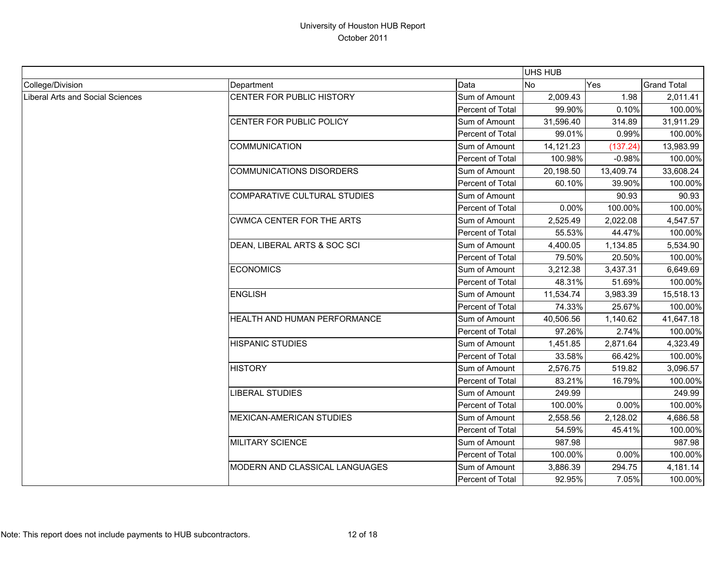|                                  |                                  |                  | UHS HUB   |           |                    |
|----------------------------------|----------------------------------|------------------|-----------|-----------|--------------------|
| College/Division                 | Department                       | Data             | <b>No</b> | Yes       | <b>Grand Total</b> |
| Liberal Arts and Social Sciences | CENTER FOR PUBLIC HISTORY        | Sum of Amount    | 2,009.43  | 1.98      | 2,011.41           |
|                                  |                                  | Percent of Total | 99.90%    | 0.10%     | 100.00%            |
|                                  | CENTER FOR PUBLIC POLICY         | Sum of Amount    | 31,596.40 | 314.89    | 31,911.29          |
|                                  |                                  | Percent of Total | 99.01%    | 0.99%     | 100.00%            |
|                                  | <b>COMMUNICATION</b>             | Sum of Amount    | 14,121.23 | (137.24)  | 13,983.99          |
|                                  |                                  | Percent of Total | 100.98%   | $-0.98%$  | 100.00%            |
|                                  | <b>COMMUNICATIONS DISORDERS</b>  | Sum of Amount    | 20,198.50 | 13,409.74 | 33,608.24          |
|                                  |                                  | Percent of Total | 60.10%    | 39.90%    | 100.00%            |
|                                  | COMPARATIVE CULTURAL STUDIES     | Sum of Amount    |           | 90.93     | 90.93              |
|                                  |                                  | Percent of Total | 0.00%     | 100.00%   | 100.00%            |
|                                  | <b>CWMCA CENTER FOR THE ARTS</b> | Sum of Amount    | 2,525.49  | 2,022.08  | 4,547.57           |
|                                  |                                  | Percent of Total | 55.53%    | 44.47%    | 100.00%            |
|                                  | DEAN, LIBERAL ARTS & SOC SCI     | Sum of Amount    | 4,400.05  | 1,134.85  | 5,534.90           |
|                                  |                                  | Percent of Total | 79.50%    | 20.50%    | 100.00%            |
|                                  | <b>ECONOMICS</b>                 | Sum of Amount    | 3,212.38  | 3,437.31  | 6,649.69           |
|                                  |                                  | Percent of Total | 48.31%    | 51.69%    | 100.00%            |
|                                  | <b>ENGLISH</b>                   | Sum of Amount    | 11,534.74 | 3,983.39  | 15,518.13          |
|                                  |                                  | Percent of Total | 74.33%    | 25.67%    | 100.00%            |
|                                  | HEALTH AND HUMAN PERFORMANCE     | Sum of Amount    | 40,506.56 | 1,140.62  | 41,647.18          |
|                                  |                                  | Percent of Total | 97.26%    | 2.74%     | 100.00%            |
|                                  | <b>HISPANIC STUDIES</b>          | Sum of Amount    | 1,451.85  | 2,871.64  | 4,323.49           |
|                                  |                                  | Percent of Total | 33.58%    | 66.42%    | 100.00%            |
|                                  | <b>HISTORY</b>                   | Sum of Amount    | 2,576.75  | 519.82    | 3,096.57           |
|                                  |                                  | Percent of Total | 83.21%    | 16.79%    | 100.00%            |
|                                  | <b>LIBERAL STUDIES</b>           | Sum of Amount    | 249.99    |           | 249.99             |
|                                  |                                  | Percent of Total | 100.00%   | 0.00%     | 100.00%            |
|                                  | <b>MEXICAN-AMERICAN STUDIES</b>  | Sum of Amount    | 2,558.56  | 2,128.02  | 4,686.58           |
|                                  |                                  | Percent of Total | 54.59%    | 45.41%    | 100.00%            |
|                                  | <b>MILITARY SCIENCE</b>          | Sum of Amount    | 987.98    |           | 987.98             |
|                                  |                                  | Percent of Total | 100.00%   | 0.00%     | 100.00%            |
|                                  | MODERN AND CLASSICAL LANGUAGES   | Sum of Amount    | 3,886.39  | 294.75    | 4,181.14           |
|                                  |                                  | Percent of Total | 92.95%    | 7.05%     | 100.00%            |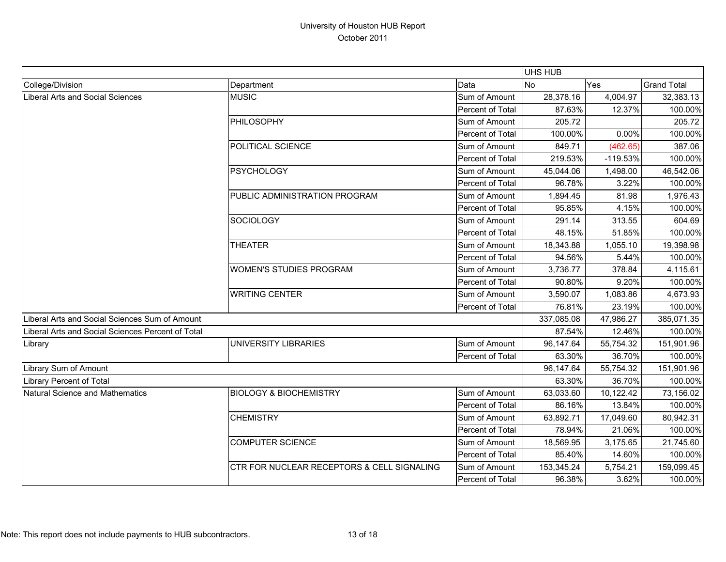|                                                   |                                            |                                                          | <b>UHS HUB</b> |            |                    |
|---------------------------------------------------|--------------------------------------------|----------------------------------------------------------|----------------|------------|--------------------|
| College/Division                                  | Department                                 | Data                                                     | <b>No</b>      | Yes        | <b>Grand Total</b> |
| Liberal Arts and Social Sciences                  | <b>MUSIC</b>                               | Sum of Amount                                            | 28,378.16      | 4,004.97   | 32,383.13          |
|                                                   |                                            | Percent of Total                                         | 87.63%         | 12.37%     | 100.00%            |
|                                                   | PHILOSOPHY                                 | Sum of Amount                                            | 205.72         |            | 205.72             |
|                                                   |                                            | Percent of Total                                         | 100.00%        | 0.00%      | 100.00%            |
|                                                   | POLITICAL SCIENCE                          | Sum of Amount                                            | 849.71         | (462.65)   | 387.06             |
|                                                   |                                            | Percent of Total                                         | 219.53%        | $-119.53%$ | 100.00%            |
|                                                   | PSYCHOLOGY                                 | Sum of Amount                                            | 45,044.06      | 1,498.00   | 46,542.06          |
|                                                   |                                            | Percent of Total                                         | 96.78%         | 3.22%      | 100.00%            |
|                                                   | PUBLIC ADMINISTRATION PROGRAM              | Sum of Amount                                            | 1,894.45       | 81.98      | 1,976.43           |
|                                                   |                                            | Percent of Total                                         | 95.85%         | 4.15%      | 100.00%            |
|                                                   | <b>SOCIOLOGY</b>                           | Sum of Amount                                            | 291.14         | 313.55     | 604.69             |
|                                                   |                                            | Percent of Total                                         | 48.15%         | 51.85%     | 100.00%            |
|                                                   | <b>THEATER</b>                             | 18,343.88<br>Sum of Amount<br>Percent of Total<br>94.56% | 1,055.10       | 19,398.98  |                    |
|                                                   |                                            |                                                          |                | 5.44%      | 100.00%            |
|                                                   | <b>WOMEN'S STUDIES PROGRAM</b>             | Sum of Amount                                            | 3,736.77       | 378.84     | 4,115.61           |
|                                                   |                                            | Percent of Total                                         | 90.80%         | 9.20%      | 100.00%            |
|                                                   | <b>WRITING CENTER</b>                      | Sum of Amount                                            | 3,590.07       | 1,083.86   | 4,673.93           |
|                                                   |                                            | Percent of Total                                         | 76.81%         | 23.19%     | 100.00%            |
| Liberal Arts and Social Sciences Sum of Amount    |                                            |                                                          | 337,085.08     | 47,986.27  | 385,071.35         |
| Liberal Arts and Social Sciences Percent of Total |                                            |                                                          | 87.54%         | 12.46%     | 100.00%            |
| Library                                           | UNIVERSITY LIBRARIES                       | Sum of Amount                                            | 96,147.64      | 55,754.32  | 151,901.96         |
|                                                   |                                            | Percent of Total                                         | 63.30%         | 36.70%     | 100.00%            |
| Library Sum of Amount                             |                                            |                                                          | 96,147.64      | 55,754.32  | 151,901.96         |
| Library Percent of Total                          |                                            |                                                          | 63.30%         | 36.70%     | 100.00%            |
| Natural Science and Mathematics                   | <b>BIOLOGY &amp; BIOCHEMISTRY</b>          | Sum of Amount                                            | 63,033.60      | 10,122.42  | 73,156.02          |
|                                                   |                                            | Percent of Total                                         | 86.16%         | 13.84%     | 100.00%            |
|                                                   | <b>CHEMISTRY</b>                           | Sum of Amount                                            | 63,892.71      | 17,049.60  | 80,942.31          |
|                                                   |                                            | Percent of Total                                         | 78.94%         | 21.06%     | 100.00%            |
|                                                   | <b>COMPUTER SCIENCE</b>                    | Sum of Amount                                            | 18,569.95      | 3,175.65   | 21,745.60          |
|                                                   |                                            | Percent of Total                                         | 85.40%         | 14.60%     | 100.00%            |
|                                                   | CTR FOR NUCLEAR RECEPTORS & CELL SIGNALING | Sum of Amount                                            | 153,345.24     | 5,754.21   | 159,099.45         |
|                                                   |                                            | Percent of Total                                         | 96.38%         | 3.62%      | 100.00%            |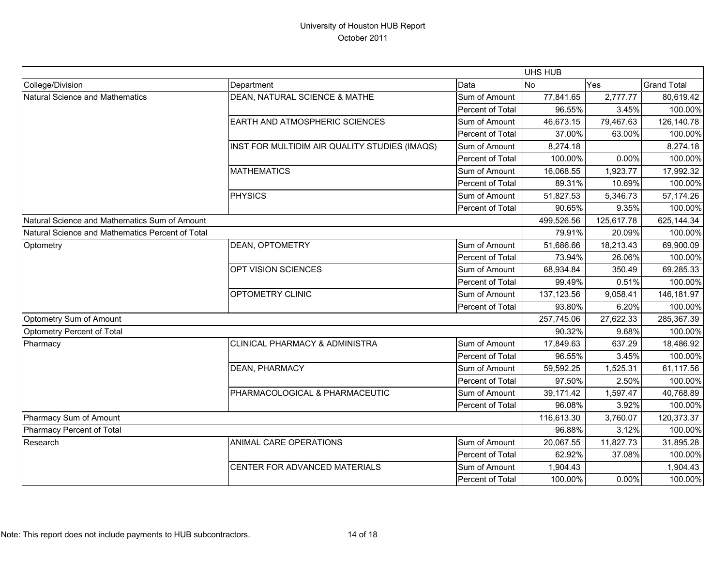|                                                  |                                               |                  | UHS HUB    |            |                    |
|--------------------------------------------------|-----------------------------------------------|------------------|------------|------------|--------------------|
| College/Division                                 | Department                                    | Data             | <b>No</b>  | Yes        | <b>Grand Total</b> |
| <b>Natural Science and Mathematics</b>           | DEAN, NATURAL SCIENCE & MATHE                 | Sum of Amount    | 77,841.65  | 2,777.77   | 80,619.42          |
|                                                  |                                               | Percent of Total | 96.55%     | 3.45%      | 100.00%            |
|                                                  | <b>EARTH AND ATMOSPHERIC SCIENCES</b>         | Sum of Amount    | 46,673.15  | 79,467.63  | 126,140.78         |
|                                                  |                                               | Percent of Total | 37.00%     | 63.00%     | 100.00%            |
|                                                  | INST FOR MULTIDIM AIR QUALITY STUDIES (IMAQS) | Sum of Amount    | 8,274.18   |            | 8,274.18           |
|                                                  |                                               | Percent of Total | 100.00%    | 0.00%      | 100.00%            |
|                                                  | <b>MATHEMATICS</b>                            | Sum of Amount    | 16,068.55  | 1,923.77   | 17,992.32          |
|                                                  |                                               | Percent of Total | 89.31%     | 10.69%     | 100.00%            |
|                                                  | <b>PHYSICS</b>                                | Sum of Amount    | 51,827.53  | 5,346.73   | 57,174.26          |
|                                                  |                                               | Percent of Total | 90.65%     | 9.35%      | 100.00%            |
| Natural Science and Mathematics Sum of Amount    |                                               |                  | 499,526.56 | 125,617.78 | 625,144.34         |
| Natural Science and Mathematics Percent of Total |                                               |                  | 79.91%     | 20.09%     | 100.00%            |
| Optometry                                        | DEAN, OPTOMETRY                               | Sum of Amount    | 51,686.66  | 18,213.43  | 69,900.09          |
|                                                  |                                               | Percent of Total | 73.94%     | 26.06%     | 100.00%            |
|                                                  | OPT VISION SCIENCES                           | Sum of Amount    | 68,934.84  | 350.49     | 69,285.33          |
|                                                  |                                               | Percent of Total | 99.49%     | 0.51%      | 100.00%            |
|                                                  | OPTOMETRY CLINIC                              | Sum of Amount    | 137,123.56 | 9,058.41   | 146,181.97         |
|                                                  |                                               | Percent of Total | 93.80%     | 6.20%      | 100.00%            |
| Optometry Sum of Amount                          |                                               | 257,745.06       | 27,622.33  | 285,367.39 |                    |
| Optometry Percent of Total                       |                                               |                  | 90.32%     | 9.68%      | 100.00%            |
| Pharmacy                                         | <b>CLINICAL PHARMACY &amp; ADMINISTRA</b>     | Sum of Amount    | 17,849.63  | 637.29     | 18,486.92          |
|                                                  |                                               | Percent of Total | 96.55%     | 3.45%      | 100.00%            |
|                                                  | <b>DEAN, PHARMACY</b>                         | Sum of Amount    | 59,592.25  | 1,525.31   | 61,117.56          |
|                                                  |                                               | Percent of Total | 97.50%     | 2.50%      | 100.00%            |
|                                                  | PHARMACOLOGICAL & PHARMACEUTIC                | Sum of Amount    | 39,171.42  | 1,597.47   | 40,768.89          |
|                                                  |                                               | Percent of Total | 96.08%     | 3.92%      | 100.00%            |
| Pharmacy Sum of Amount                           |                                               |                  | 116,613.30 | 3,760.07   | 120,373.37         |
| Pharmacy Percent of Total                        |                                               | 96.88%           | 3.12%      | 100.00%    |                    |
| Research                                         | ANIMAL CARE OPERATIONS                        | Sum of Amount    | 20,067.55  | 11,827.73  | 31,895.28          |
|                                                  |                                               | Percent of Total | 62.92%     | 37.08%     | 100.00%            |
|                                                  | CENTER FOR ADVANCED MATERIALS                 | Sum of Amount    | 1,904.43   |            | 1,904.43           |
|                                                  |                                               | Percent of Total | 100.00%    | 0.00%      | 100.00%            |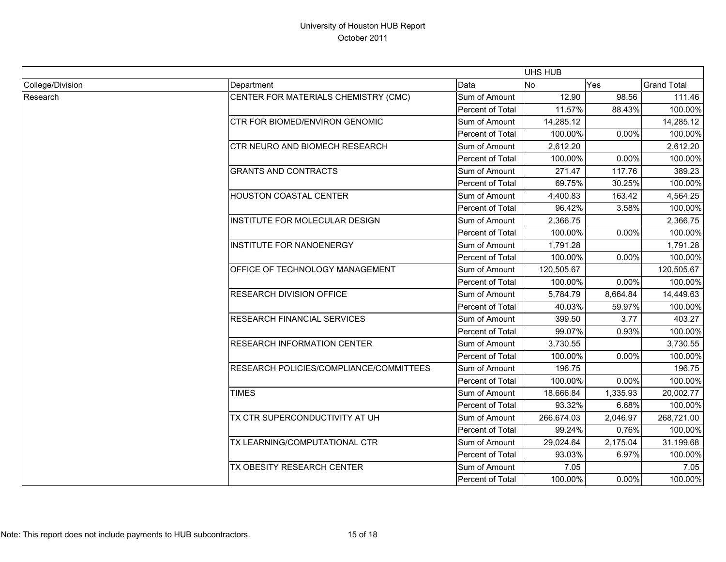|                  |                                         |                  | <b>UHS HUB</b> |          |                    |
|------------------|-----------------------------------------|------------------|----------------|----------|--------------------|
| College/Division | Department                              | Data             | No             | Yes      | <b>Grand Total</b> |
| Research         | CENTER FOR MATERIALS CHEMISTRY (CMC)    | Sum of Amount    | 12.90          | 98.56    | 111.46             |
|                  |                                         | Percent of Total | 11.57%         | 88.43%   | 100.00%            |
|                  | CTR FOR BIOMED/ENVIRON GENOMIC          | Sum of Amount    | 14,285.12      |          | 14,285.12          |
|                  |                                         | Percent of Total | 100.00%        | 0.00%    | 100.00%            |
|                  | <b>CTR NEURO AND BIOMECH RESEARCH</b>   | Sum of Amount    | 2,612.20       |          | 2,612.20           |
|                  |                                         | Percent of Total | 100.00%        | 0.00%    | 100.00%            |
|                  | <b>GRANTS AND CONTRACTS</b>             | Sum of Amount    | 271.47         | 117.76   | 389.23             |
|                  |                                         | Percent of Total | 69.75%         | 30.25%   | 100.00%            |
|                  | HOUSTON COASTAL CENTER                  | Sum of Amount    | 4,400.83       | 163.42   | 4,564.25           |
|                  |                                         | Percent of Total | 96.42%         | 3.58%    | 100.00%            |
|                  | INSTITUTE FOR MOLECULAR DESIGN          | Sum of Amount    | 2,366.75       |          | 2,366.75           |
|                  |                                         | Percent of Total | 100.00%        | 0.00%    | 100.00%            |
|                  | <b>INSTITUTE FOR NANOENERGY</b>         | Sum of Amount    | 1,791.28       |          | 1,791.28           |
|                  |                                         | Percent of Total | 100.00%        | 0.00%    | 100.00%            |
|                  | OFFICE OF TECHNOLOGY MANAGEMENT         | Sum of Amount    | 120,505.67     |          | 120,505.67         |
|                  |                                         | Percent of Total | 100.00%        | 0.00%    | 100.00%            |
|                  | <b>RESEARCH DIVISION OFFICE</b>         | Sum of Amount    | 5,784.79       | 8,664.84 | 14,449.63          |
|                  |                                         | Percent of Total | 40.03%         | 59.97%   | 100.00%            |
|                  | RESEARCH FINANCIAL SERVICES             | Sum of Amount    | 399.50         | 3.77     | 403.27             |
|                  |                                         | Percent of Total | 99.07%         | 0.93%    | 100.00%            |
|                  | <b>RESEARCH INFORMATION CENTER</b>      | Sum of Amount    | 3,730.55       |          | 3,730.55           |
|                  |                                         | Percent of Total | 100.00%        | 0.00%    | 100.00%            |
|                  | RESEARCH POLICIES/COMPLIANCE/COMMITTEES | Sum of Amount    | 196.75         |          | 196.75             |
|                  |                                         | Percent of Total | 100.00%        | 0.00%    | 100.00%            |
|                  | <b>TIMES</b>                            | Sum of Amount    | 18,666.84      | 1,335.93 | 20,002.77          |
|                  |                                         | Percent of Total | 93.32%         | 6.68%    | 100.00%            |
|                  | TX CTR SUPERCONDUCTIVITY AT UH          | Sum of Amount    | 266,674.03     | 2,046.97 | 268,721.00         |
|                  |                                         | Percent of Total | 99.24%         | 0.76%    | 100.00%            |
|                  | TX LEARNING/COMPUTATIONAL CTR           | Sum of Amount    | 29,024.64      | 2,175.04 | 31,199.68          |
|                  |                                         | Percent of Total | 93.03%         | 6.97%    | 100.00%            |
|                  | TX OBESITY RESEARCH CENTER              | Sum of Amount    | 7.05           |          | 7.05               |
|                  |                                         | Percent of Total | 100.00%        | 0.00%    | 100.00%            |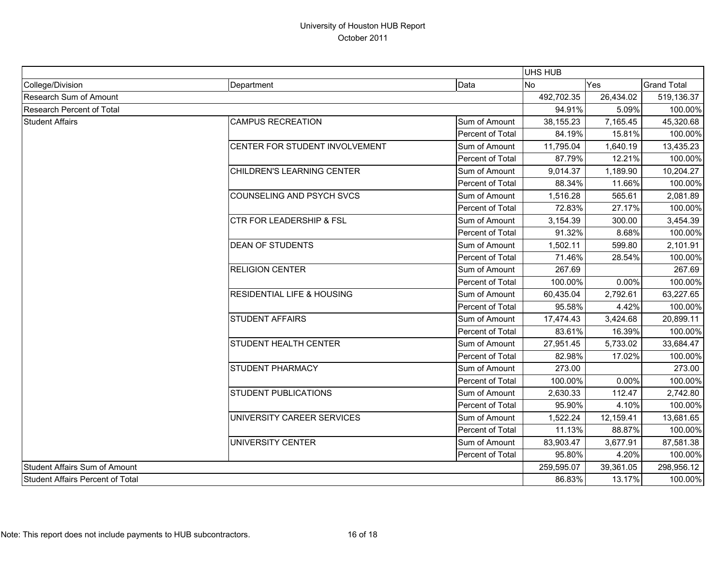|                                  |                                       |                                                                                            | <b>UHS HUB</b> |            |                    |
|----------------------------------|---------------------------------------|--------------------------------------------------------------------------------------------|----------------|------------|--------------------|
| College/Division                 | Department                            | Data                                                                                       | <b>No</b>      | Yes        | <b>Grand Total</b> |
| Research Sum of Amount           |                                       | 492,702.35                                                                                 | 26,434.02      | 519,136.37 |                    |
| <b>Research Percent of Total</b> |                                       | 94.91%                                                                                     | 5.09%          | 100.00%    |                    |
| <b>Student Affairs</b>           | <b>CAMPUS RECREATION</b>              | Sum of Amount                                                                              | 38,155.23      | 7,165.45   | 45,320.68          |
|                                  |                                       | Percent of Total                                                                           | 84.19%         | 15.81%     | 100.00%            |
|                                  | CENTER FOR STUDENT INVOLVEMENT        | Sum of Amount                                                                              | 11,795.04      | 1,640.19   | 13,435.23          |
|                                  |                                       | Percent of Total                                                                           | 87.79%         | 12.21%     | 100.00%            |
|                                  | CHILDREN'S LEARNING CENTER            | Sum of Amount                                                                              | 9,014.37       | 1,189.90   | 10,204.27          |
|                                  |                                       | Percent of Total                                                                           | 88.34%         | 11.66%     | 100.00%            |
|                                  | <b>COUNSELING AND PSYCH SVCS</b>      | Sum of Amount                                                                              | 1,516.28       | 565.61     | 2,081.89           |
|                                  |                                       | Percent of Total                                                                           | 72.83%         | 27.17%     | 100.00%            |
|                                  | <b>CTR FOR LEADERSHIP &amp; FSL</b>   | Sum of Amount                                                                              | 3,154.39       | 300.00     | 3,454.39           |
|                                  |                                       |                                                                                            | 91.32%         | 8.68%      | 100.00%            |
|                                  | <b>DEAN OF STUDENTS</b>               | Sum of Amount                                                                              | 1,502.11       | 599.80     | 2,101.91           |
|                                  |                                       | Percent of Total                                                                           | 71.46%         | 28.54%     | 100.00%            |
|                                  | <b>RELIGION CENTER</b>                | Sum of Amount                                                                              | 267.69         |            | 267.69             |
|                                  |                                       |                                                                                            | 100.00%        | 0.00%      | 100.00%            |
|                                  | <b>RESIDENTIAL LIFE &amp; HOUSING</b> | Sum of Amount                                                                              | 60,435.04      | 2,792.61   | 63,227.65          |
|                                  |                                       | Percent of Total                                                                           | 95.58%         | 4.42%      | 100.00%            |
|                                  | <b>STUDENT AFFAIRS</b>                | Sum of Amount                                                                              | 17,474.43      | 3,424.68   | 20,899.11          |
|                                  |                                       | Percent of Total                                                                           | 83.61%         | 16.39%     | 100.00%            |
|                                  | <b>STUDENT HEALTH CENTER</b>          | Sum of Amount                                                                              | 27,951.45      | 5,733.02   | 33,684.47          |
|                                  |                                       | Percent of Total                                                                           | 82.98%         | 17.02%     | 100.00%            |
|                                  | <b>STUDENT PHARMACY</b>               | Sum of Amount                                                                              | 273.00         |            | 273.00             |
|                                  |                                       | Percent of Total                                                                           | 100.00%        | 0.00%      | 100.00%            |
|                                  | <b>STUDENT PUBLICATIONS</b>           | Percent of Total<br>Percent of Total<br>Sum of Amount<br>Percent of Total<br>Sum of Amount | 2,630.33       | 112.47     | 2,742.80           |
|                                  |                                       |                                                                                            | 95.90%         | 4.10%      | 100.00%            |
|                                  | UNIVERSITY CAREER SERVICES            |                                                                                            | 1,522.24       | 12,159.41  | 13,681.65          |
|                                  |                                       | Percent of Total                                                                           | 11.13%         | 88.87%     | 100.00%            |
|                                  | UNIVERSITY CENTER                     | Sum of Amount                                                                              | 83,903.47      | 3,677.91   | 87,581.38          |
|                                  |                                       | Percent of Total                                                                           | 95.80%         | 4.20%      | 100.00%            |
| Student Affairs Sum of Amount    |                                       |                                                                                            | 259,595.07     | 39,361.05  | 298,956.12         |
| Student Affairs Percent of Total |                                       |                                                                                            | 86.83%         | 13.17%     | 100.00%            |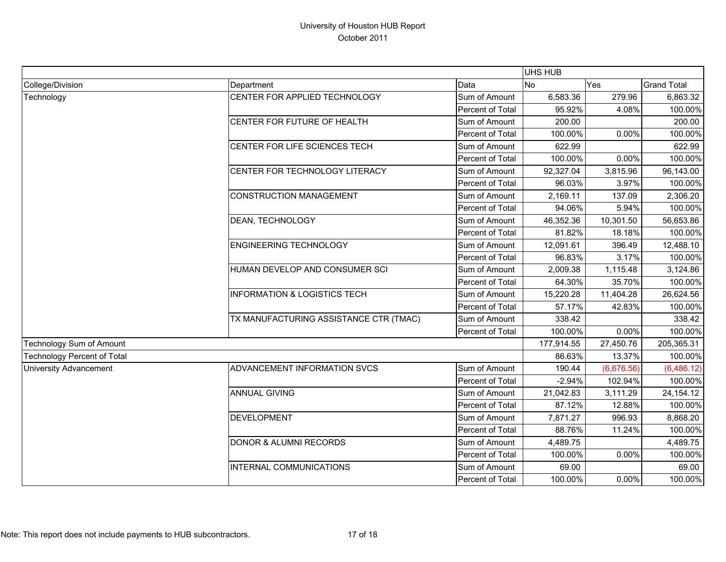|                                    |                                         |                  | <b>UHS HUB</b> |            |                    |
|------------------------------------|-----------------------------------------|------------------|----------------|------------|--------------------|
| College/Division                   | Department                              | Data             | <b>No</b>      | Yes        | <b>Grand Total</b> |
| Technology                         | CENTER FOR APPLIED TECHNOLOGY           | Sum of Amount    | 6,583.36       | 279.96     | 6,863.32           |
|                                    |                                         | Percent of Total | 95.92%         | 4.08%      | 100.00%            |
|                                    | CENTER FOR FUTURE OF HEALTH             | Sum of Amount    | 200.00         |            | 200.00             |
|                                    |                                         | Percent of Total | 100.00%        | 0.00%      | 100.00%            |
|                                    | CENTER FOR LIFE SCIENCES TECH           | Sum of Amount    | 622.99         |            | 622.99             |
|                                    |                                         | Percent of Total | 100.00%        | 0.00%      | 100.00%            |
|                                    | CENTER FOR TECHNOLOGY LITERACY          | Sum of Amount    | 92,327.04      | 3,815.96   | 96,143.00          |
|                                    |                                         | Percent of Total | 96.03%         | 3.97%      | 100.00%            |
|                                    | <b>CONSTRUCTION MANAGEMENT</b>          | Sum of Amount    | 2,169.11       | 137.09     | 2,306.20           |
|                                    |                                         | Percent of Total | 94.06%         | 5.94%      | 100.00%            |
|                                    | <b>DEAN, TECHNOLOGY</b>                 | Sum of Amount    | 46,352.36      | 10,301.50  | 56,653.86          |
|                                    |                                         | Percent of Total | 81.82%         | 18.18%     | 100.00%            |
|                                    | <b>ENGINEERING TECHNOLOGY</b>           | Sum of Amount    | 12,091.61      | 396.49     | 12,488.10          |
|                                    |                                         | Percent of Total | 96.83%         | 3.17%      | 100.00%            |
|                                    | HUMAN DEVELOP AND CONSUMER SCI          | Sum of Amount    | 2,009.38       | 1,115.48   | 3,124.86           |
|                                    |                                         | Percent of Total | 64.30%         | 35.70%     | 100.00%            |
|                                    | <b>INFORMATION &amp; LOGISTICS TECH</b> | Sum of Amount    | 15,220.28      | 11,404.28  | 26,624.56          |
|                                    |                                         | Percent of Total | 57.17%         | 42.83%     | 100.00%            |
|                                    | TX MANUFACTURING ASSISTANCE CTR (TMAC)  | Sum of Amount    | 338.42         |            | 338.42             |
|                                    |                                         | Percent of Total | 100.00%        | 0.00%      | 100.00%            |
| Technology Sum of Amount           |                                         |                  | 177,914.55     | 27,450.76  | 205,365.31         |
| <b>Technology Percent of Total</b> |                                         |                  | 86.63%         | 13.37%     | 100.00%            |
| <b>University Advancement</b>      | ADVANCEMENT INFORMATION SVCS            | Sum of Amount    | 190.44         | (6,676.56) | (6,486.12)         |
|                                    |                                         | Percent of Total | $-2.94%$       | 102.94%    | 100.00%            |
|                                    | <b>ANNUAL GIVING</b>                    | Sum of Amount    | 21,042.83      | 3,111.29   | 24,154.12          |
|                                    |                                         | Percent of Total | 87.12%         | 12.88%     | 100.00%            |
|                                    | <b>DEVELOPMENT</b>                      | Sum of Amount    | 7,871.27       | 996.93     | 8,868.20           |
|                                    |                                         | Percent of Total | 88.76%         | 11.24%     | 100.00%            |
|                                    | <b>DONOR &amp; ALUMNI RECORDS</b>       | Sum of Amount    | 4,489.75       |            | 4,489.75           |
|                                    |                                         | Percent of Total | 100.00%        | 0.00%      | 100.00%            |
|                                    | <b>INTERNAL COMMUNICATIONS</b>          | Sum of Amount    | 69.00          |            | 69.00              |
|                                    |                                         | Percent of Total | 100.00%        | 0.00%      | 100.00%            |